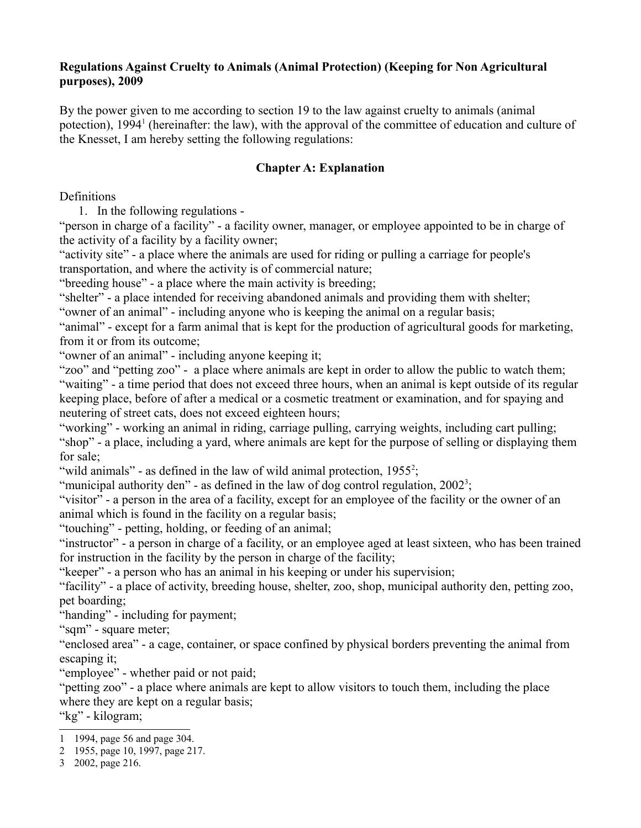#### **Regulations Against Cruelty to Animals (Animal Protection) (Keeping for Non Agricultural purposes), 2009**

By the power given to me according to section 19 to the law against cruelty to animals (animal potection), [1](#page-0-0)994<sup>1</sup> (hereinafter: the law), with the approval of the committee of education and culture of the Knesset, I am hereby setting the following regulations:

## **Chapter A: Explanation**

Definitions

1. In the following regulations -

"person in charge of a facility" - a facility owner, manager, or employee appointed to be in charge of the activity of a facility by a facility owner;

"activity site" - a place where the animals are used for riding or pulling a carriage for people's transportation, and where the activity is of commercial nature;

"breeding house" - a place where the main activity is breeding;

"shelter" - a place intended for receiving abandoned animals and providing them with shelter;

"owner of an animal" - including anyone who is keeping the animal on a regular basis;

"animal" - except for a farm animal that is kept for the production of agricultural goods for marketing, from it or from its outcome;

"owner of an animal" - including anyone keeping it;

"zoo" and "petting zoo" - a place where animals are kept in order to allow the public to watch them; "waiting" - a time period that does not exceed three hours, when an animal is kept outside of its regular keeping place, before of after a medical or a cosmetic treatment or examination, and for spaying and neutering of street cats, does not exceed eighteen hours;

"working" - working an animal in riding, carriage pulling, carrying weights, including cart pulling; "shop" - a place, including a yard, where animals are kept for the purpose of selling or displaying them for sale;

"wild animals" - as defined in the law of wild animal protection,  $1955^2$  $1955^2$ ;

"municipal authority den" - as defined in the law of dog control regulation,  $2002^3$  $2002^3$ ;

"visitor" - a person in the area of a facility, except for an employee of the facility or the owner of an animal which is found in the facility on a regular basis;

"touching" - petting, holding, or feeding of an animal;

"instructor" - a person in charge of a facility, or an employee aged at least sixteen, who has been trained for instruction in the facility by the person in charge of the facility;

"keeper" - a person who has an animal in his keeping or under his supervision;

"facility" - a place of activity, breeding house, shelter, zoo, shop, municipal authority den, petting zoo, pet boarding;

"handing" - including for payment;

"sqm" - square meter;

"enclosed area" - a cage, container, or space confined by physical borders preventing the animal from escaping it;

"employee" - whether paid or not paid;

"petting zoo" - a place where animals are kept to allow visitors to touch them, including the place where they are kept on a regular basis;

"kg" - kilogram;

<span id="page-0-0"></span><sup>1</sup> 1994, page 56 and page 304.

<span id="page-0-1"></span><sup>2</sup> 1955, page 10, 1997, page 217.

<span id="page-0-2"></span><sup>3</sup> 2002, page 216.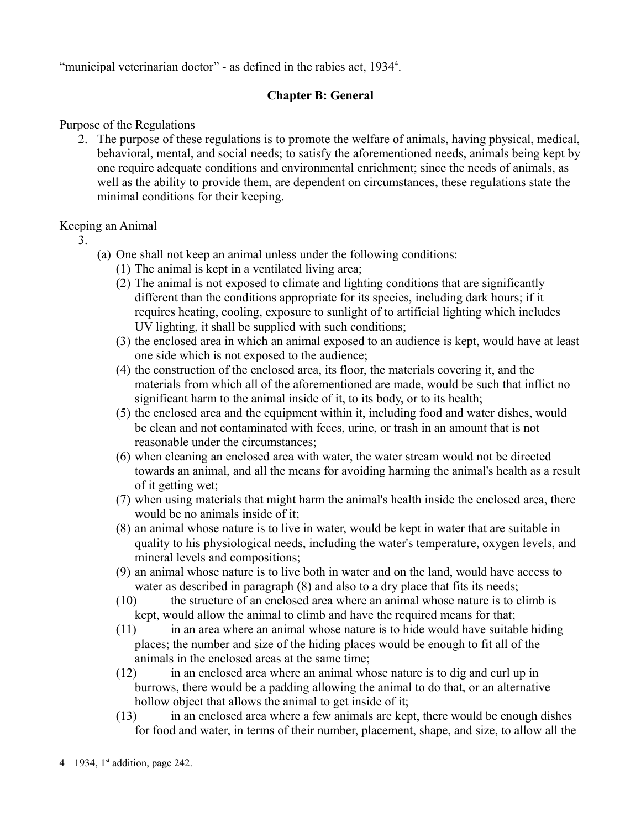"municipal veterinarian doctor" - as defined in the rabies act, 193[4](#page-1-0)<sup>4</sup>.

# **Chapter B: General**

Purpose of the Regulations

2. The purpose of these regulations is to promote the welfare of animals, having physical, medical, behavioral, mental, and social needs; to satisfy the aforementioned needs, animals being kept by one require adequate conditions and environmental enrichment; since the needs of animals, as well as the ability to provide them, are dependent on circumstances, these regulations state the minimal conditions for their keeping.

## Keeping an Animal

- 3.
- (a) One shall not keep an animal unless under the following conditions:
	- (1) The animal is kept in a ventilated living area;
	- (2) The animal is not exposed to climate and lighting conditions that are significantly different than the conditions appropriate for its species, including dark hours; if it requires heating, cooling, exposure to sunlight of to artificial lighting which includes UV lighting, it shall be supplied with such conditions;
	- (3) the enclosed area in which an animal exposed to an audience is kept, would have at least one side which is not exposed to the audience;
	- (4) the construction of the enclosed area, its floor, the materials covering it, and the materials from which all of the aforementioned are made, would be such that inflict no significant harm to the animal inside of it, to its body, or to its health;
	- (5) the enclosed area and the equipment within it, including food and water dishes, would be clean and not contaminated with feces, urine, or trash in an amount that is not reasonable under the circumstances;
	- (6) when cleaning an enclosed area with water, the water stream would not be directed towards an animal, and all the means for avoiding harming the animal's health as a result of it getting wet;
	- (7) when using materials that might harm the animal's health inside the enclosed area, there would be no animals inside of it;
	- (8) an animal whose nature is to live in water, would be kept in water that are suitable in quality to his physiological needs, including the water's temperature, oxygen levels, and mineral levels and compositions;
	- (9) an animal whose nature is to live both in water and on the land, would have access to water as described in paragraph (8) and also to a dry place that fits its needs;
	- (10) the structure of an enclosed area where an animal whose nature is to climb is kept, would allow the animal to climb and have the required means for that;
	- (11) in an area where an animal whose nature is to hide would have suitable hiding places; the number and size of the hiding places would be enough to fit all of the animals in the enclosed areas at the same time;
	- (12) in an enclosed area where an animal whose nature is to dig and curl up in burrows, there would be a padding allowing the animal to do that, or an alternative hollow object that allows the animal to get inside of it;
	- (13) in an enclosed area where a few animals are kept, there would be enough dishes for food and water, in terms of their number, placement, shape, and size, to allow all the

<span id="page-1-0"></span><sup>4 1934,</sup>  $1<sup>st</sup>$  addition, page 242.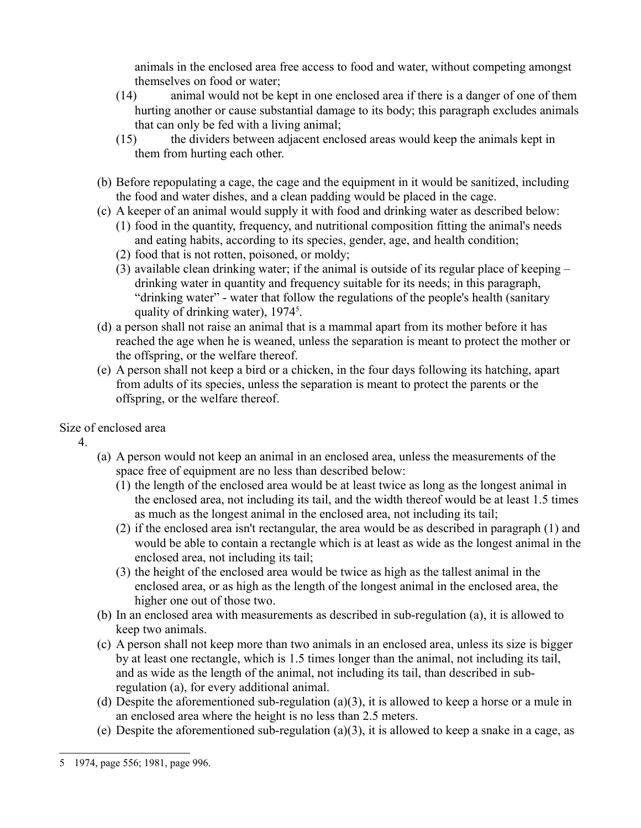animals in the enclosed area free access to food and water, without competing amongst themselves on food or water;

- (14) animal would not be kept in one enclosed area if there is a danger of one of them hurting another or cause substantial damage to its body; this paragraph excludes animals that can only be fed with a living animal;
- (15) the dividers between adjacent enclosed areas would keep the animals kept in them from hurting each other.
- (b) Before repopulating a cage, the cage and the equipment in it would be sanitized, including the food and water dishes, and a clean padding would be placed in the cage.
- (c) A keeper of an animal would supply it with food and drinking water as described below:
	- (1) food in the quantity, frequency, and nutritional composition fitting the animal's needs and eating habits, according to its species, gender, age, and health condition;
	- (2) food that is not rotten, poisoned, or moldy;
	- (3) available clean drinking water; if the animal is outside of its regular place of keeping drinking water in quantity and frequency suitable for its needs; in this paragraph, "drinking water" - water that follow the regulations of the people's health (sanitary quality of drinking water),  $1974<sup>5</sup>$  $1974<sup>5</sup>$  $1974<sup>5</sup>$ .
- (d) a person shall not raise an animal that is a mammal apart from its mother before it has reached the age when he is weaned, unless the separation is meant to protect the mother or the offspring, or the welfare thereof.
- (e) A person shall not keep a bird or a chicken, in the four days following its hatching, apart from adults of its species, unless the separation is meant to protect the parents or the offspring, or the welfare thereof.

Size of enclosed area

4.

- (a) A person would not keep an animal in an enclosed area, unless the measurements of the space free of equipment are no less than described below:
	- (1) the length of the enclosed area would be at least twice as long as the longest animal in the enclosed area, not including its tail, and the width thereof would be at least 1.5 times as much as the longest animal in the enclosed area, not including its tail;
	- (2) if the enclosed area isn't rectangular, the area would be as described in paragraph (1) and would be able to contain a rectangle which is at least as wide as the longest animal in the enclosed area, not including its tail;
	- (3) the height of the enclosed area would be twice as high as the tallest animal in the enclosed area, or as high as the length of the longest animal in the enclosed area, the higher one out of those two.
- (b) In an enclosed area with measurements as described in sub-regulation (a), it is allowed to keep two animals.
- (c) A person shall not keep more than two animals in an enclosed area, unless its size is bigger by at least one rectangle, which is 1.5 times longer than the animal, not including its tail, and as wide as the length of the animal, not including its tail, than described in subregulation (a), for every additional animal.
- (d) Despite the aforementioned sub-regulation (a)(3), it is allowed to keep a horse or a mule in an enclosed area where the height is no less than 2.5 meters.
- (e) Despite the aforementioned sub-regulation (a)(3), it is allowed to keep a snake in a cage, as

<span id="page-2-0"></span><sup>5</sup> 1974, page 556; 1981, page 996.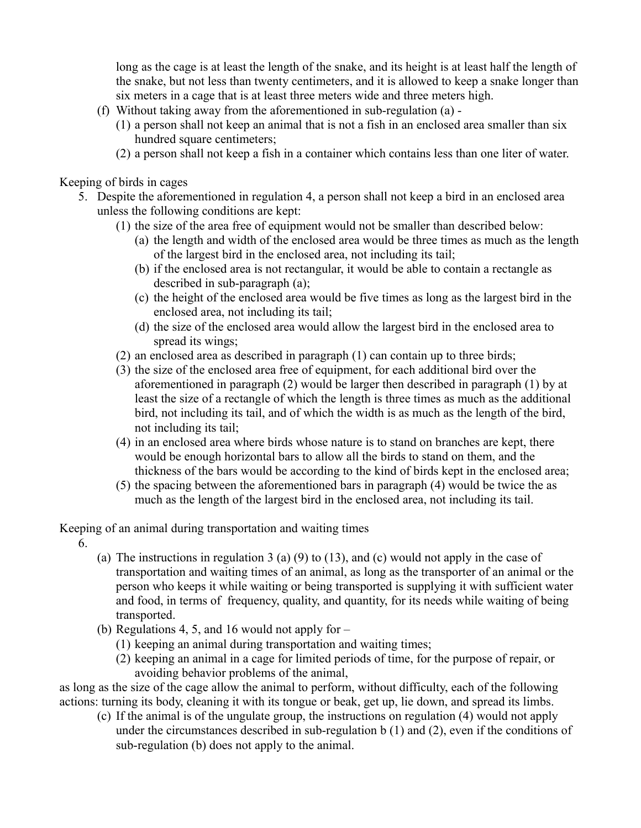long as the cage is at least the length of the snake, and its height is at least half the length of the snake, but not less than twenty centimeters, and it is allowed to keep a snake longer than six meters in a cage that is at least three meters wide and three meters high.

- (f) Without taking away from the aforementioned in sub-regulation (a)
	- (1) a person shall not keep an animal that is not a fish in an enclosed area smaller than six hundred square centimeters;
	- (2) a person shall not keep a fish in a container which contains less than one liter of water.

Keeping of birds in cages

- 5. Despite the aforementioned in regulation 4, a person shall not keep a bird in an enclosed area unless the following conditions are kept:
	- (1) the size of the area free of equipment would not be smaller than described below:
		- (a) the length and width of the enclosed area would be three times as much as the length of the largest bird in the enclosed area, not including its tail;
		- (b) if the enclosed area is not rectangular, it would be able to contain a rectangle as described in sub-paragraph (a);
		- (c) the height of the enclosed area would be five times as long as the largest bird in the enclosed area, not including its tail;
		- (d) the size of the enclosed area would allow the largest bird in the enclosed area to spread its wings;
	- (2) an enclosed area as described in paragraph (1) can contain up to three birds;
	- (3) the size of the enclosed area free of equipment, for each additional bird over the aforementioned in paragraph (2) would be larger then described in paragraph (1) by at least the size of a rectangle of which the length is three times as much as the additional bird, not including its tail, and of which the width is as much as the length of the bird, not including its tail;
	- (4) in an enclosed area where birds whose nature is to stand on branches are kept, there would be enough horizontal bars to allow all the birds to stand on them, and the thickness of the bars would be according to the kind of birds kept in the enclosed area;
	- (5) the spacing between the aforementioned bars in paragraph (4) would be twice the as much as the length of the largest bird in the enclosed area, not including its tail.

Keeping of an animal during transportation and waiting times

6.

- (a) The instructions in regulation 3 (a) (9) to (13), and (c) would not apply in the case of transportation and waiting times of an animal, as long as the transporter of an animal or the person who keeps it while waiting or being transported is supplying it with sufficient water and food, in terms of frequency, quality, and quantity, for its needs while waiting of being transported.
- (b) Regulations 4, 5, and 16 would not apply for
	- (1) keeping an animal during transportation and waiting times;
	- (2) keeping an animal in a cage for limited periods of time, for the purpose of repair, or avoiding behavior problems of the animal,

as long as the size of the cage allow the animal to perform, without difficulty, each of the following actions: turning its body, cleaning it with its tongue or beak, get up, lie down, and spread its limbs.

(c) If the animal is of the ungulate group, the instructions on regulation (4) would not apply under the circumstances described in sub-regulation b (1) and (2), even if the conditions of sub-regulation (b) does not apply to the animal.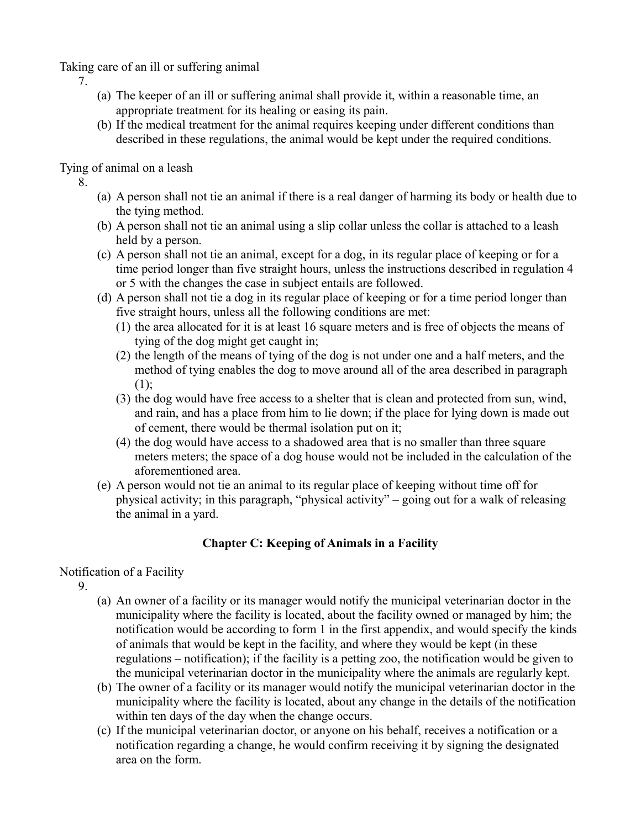Taking care of an ill or suffering animal

7.

- (a) The keeper of an ill or suffering animal shall provide it, within a reasonable time, an appropriate treatment for its healing or easing its pain.
- (b) If the medical treatment for the animal requires keeping under different conditions than described in these regulations, the animal would be kept under the required conditions.

Tying of animal on a leash

8.

- (a) A person shall not tie an animal if there is a real danger of harming its body or health due to the tying method.
- (b) A person shall not tie an animal using a slip collar unless the collar is attached to a leash held by a person.
- (c) A person shall not tie an animal, except for a dog, in its regular place of keeping or for a time period longer than five straight hours, unless the instructions described in regulation 4 or 5 with the changes the case in subject entails are followed.
- (d) A person shall not tie a dog in its regular place of keeping or for a time period longer than five straight hours, unless all the following conditions are met:
	- (1) the area allocated for it is at least 16 square meters and is free of objects the means of tying of the dog might get caught in;
	- (2) the length of the means of tying of the dog is not under one and a half meters, and the method of tying enables the dog to move around all of the area described in paragraph (1);
	- (3) the dog would have free access to a shelter that is clean and protected from sun, wind, and rain, and has a place from him to lie down; if the place for lying down is made out of cement, there would be thermal isolation put on it;
	- (4) the dog would have access to a shadowed area that is no smaller than three square meters meters; the space of a dog house would not be included in the calculation of the aforementioned area.
- (e) A person would not tie an animal to its regular place of keeping without time off for physical activity; in this paragraph, "physical activity" – going out for a walk of releasing the animal in a yard.

# **Chapter C: Keeping of Animals in a Facility**

# Notification of a Facility

9.

- (a) An owner of a facility or its manager would notify the municipal veterinarian doctor in the municipality where the facility is located, about the facility owned or managed by him; the notification would be according to form 1 in the first appendix, and would specify the kinds of animals that would be kept in the facility, and where they would be kept (in these regulations – notification); if the facility is a petting zoo, the notification would be given to the municipal veterinarian doctor in the municipality where the animals are regularly kept.
- (b) The owner of a facility or its manager would notify the municipal veterinarian doctor in the municipality where the facility is located, about any change in the details of the notification within ten days of the day when the change occurs.
- (c) If the municipal veterinarian doctor, or anyone on his behalf, receives a notification or a notification regarding a change, he would confirm receiving it by signing the designated area on the form.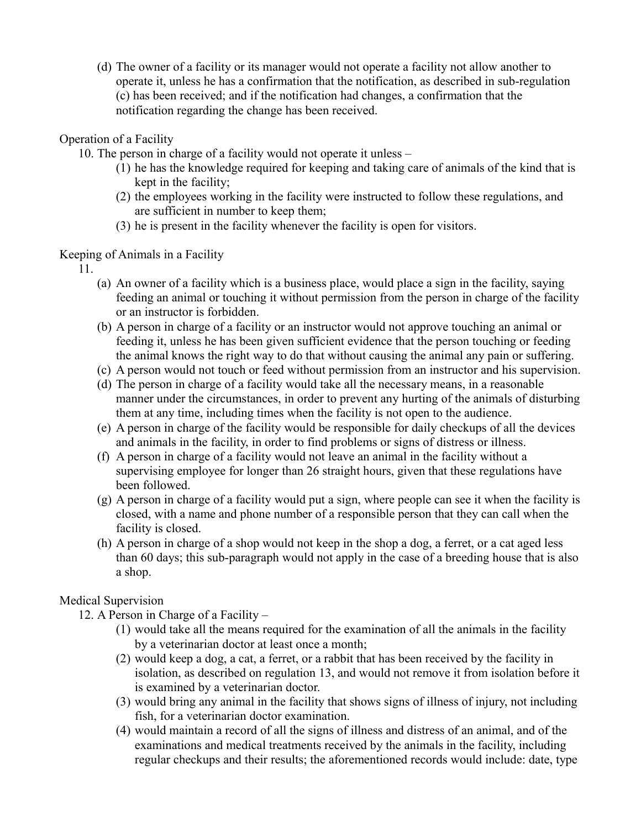(d) The owner of a facility or its manager would not operate a facility not allow another to operate it, unless he has a confirmation that the notification, as described in sub-regulation (c) has been received; and if the notification had changes, a confirmation that the notification regarding the change has been received.

#### Operation of a Facility

10. The person in charge of a facility would not operate it unless –

- (1) he has the knowledge required for keeping and taking care of animals of the kind that is kept in the facility;
- (2) the employees working in the facility were instructed to follow these regulations, and are sufficient in number to keep them;
- (3) he is present in the facility whenever the facility is open for visitors.

Keeping of Animals in a Facility

11.

- (a) An owner of a facility which is a business place, would place a sign in the facility, saying feeding an animal or touching it without permission from the person in charge of the facility or an instructor is forbidden.
- (b) A person in charge of a facility or an instructor would not approve touching an animal or feeding it, unless he has been given sufficient evidence that the person touching or feeding the animal knows the right way to do that without causing the animal any pain or suffering.
- (c) A person would not touch or feed without permission from an instructor and his supervision.
- (d) The person in charge of a facility would take all the necessary means, in a reasonable manner under the circumstances, in order to prevent any hurting of the animals of disturbing them at any time, including times when the facility is not open to the audience.
- (e) A person in charge of the facility would be responsible for daily checkups of all the devices and animals in the facility, in order to find problems or signs of distress or illness.
- (f) A person in charge of a facility would not leave an animal in the facility without a supervising employee for longer than 26 straight hours, given that these regulations have been followed.
- (g) A person in charge of a facility would put a sign, where people can see it when the facility is closed, with a name and phone number of a responsible person that they can call when the facility is closed.
- (h) A person in charge of a shop would not keep in the shop a dog, a ferret, or a cat aged less than 60 days; this sub-paragraph would not apply in the case of a breeding house that is also a shop.

#### Medical Supervision

- 12. A Person in Charge of a Facility
	- (1) would take all the means required for the examination of all the animals in the facility by a veterinarian doctor at least once a month;
	- (2) would keep a dog, a cat, a ferret, or a rabbit that has been received by the facility in isolation, as described on regulation 13, and would not remove it from isolation before it is examined by a veterinarian doctor.
	- (3) would bring any animal in the facility that shows signs of illness of injury, not including fish, for a veterinarian doctor examination.
	- (4) would maintain a record of all the signs of illness and distress of an animal, and of the examinations and medical treatments received by the animals in the facility, including regular checkups and their results; the aforementioned records would include: date, type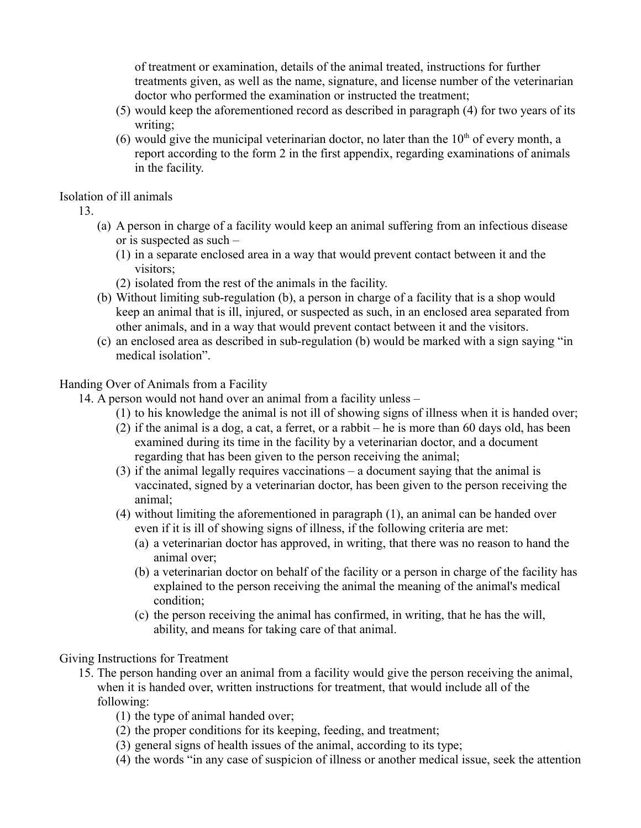of treatment or examination, details of the animal treated, instructions for further treatments given, as well as the name, signature, and license number of the veterinarian doctor who performed the examination or instructed the treatment;

- (5) would keep the aforementioned record as described in paragraph (4) for two years of its writing;
- (6) would give the municipal veterinarian doctor, no later than the  $10<sup>th</sup>$  of every month, a report according to the form 2 in the first appendix, regarding examinations of animals in the facility.

Isolation of ill animals

13.

- (a) A person in charge of a facility would keep an animal suffering from an infectious disease or is suspected as such –
	- (1) in a separate enclosed area in a way that would prevent contact between it and the visitors;
	- (2) isolated from the rest of the animals in the facility.
- (b) Without limiting sub-regulation (b), a person in charge of a facility that is a shop would keep an animal that is ill, injured, or suspected as such, in an enclosed area separated from other animals, and in a way that would prevent contact between it and the visitors.
- (c) an enclosed area as described in sub-regulation (b) would be marked with a sign saying "in medical isolation".

#### Handing Over of Animals from a Facility

- 14. A person would not hand over an animal from a facility unless
	- (1) to his knowledge the animal is not ill of showing signs of illness when it is handed over;
	- (2) if the animal is a dog, a cat, a ferret, or a rabbit he is more than 60 days old, has been examined during its time in the facility by a veterinarian doctor, and a document regarding that has been given to the person receiving the animal;
	- (3) if the animal legally requires vaccinations a document saying that the animal is vaccinated, signed by a veterinarian doctor, has been given to the person receiving the animal;
	- (4) without limiting the aforementioned in paragraph (1), an animal can be handed over even if it is ill of showing signs of illness, if the following criteria are met:
		- (a) a veterinarian doctor has approved, in writing, that there was no reason to hand the animal over;
		- (b) a veterinarian doctor on behalf of the facility or a person in charge of the facility has explained to the person receiving the animal the meaning of the animal's medical condition;
		- (c) the person receiving the animal has confirmed, in writing, that he has the will, ability, and means for taking care of that animal.

Giving Instructions for Treatment

- 15. The person handing over an animal from a facility would give the person receiving the animal, when it is handed over, written instructions for treatment, that would include all of the following:
	- (1) the type of animal handed over;
	- (2) the proper conditions for its keeping, feeding, and treatment;
	- (3) general signs of health issues of the animal, according to its type;
	- (4) the words "in any case of suspicion of illness or another medical issue, seek the attention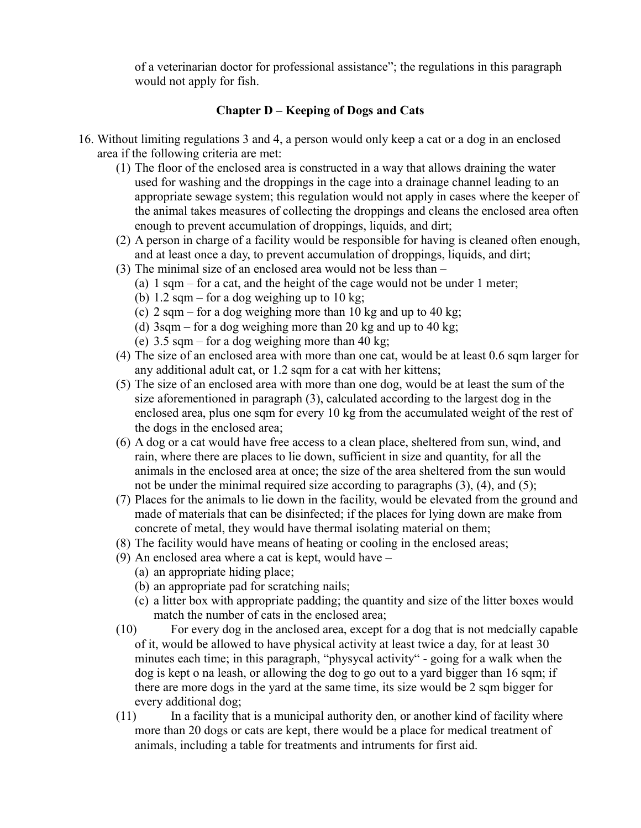of a veterinarian doctor for professional assistance"; the regulations in this paragraph would not apply for fish.

## **Chapter D – Keeping of Dogs and Cats**

- 16. Without limiting regulations 3 and 4, a person would only keep a cat or a dog in an enclosed area if the following criteria are met:
	- (1) The floor of the enclosed area is constructed in a way that allows draining the water used for washing and the droppings in the cage into a drainage channel leading to an appropriate sewage system; this regulation would not apply in cases where the keeper of the animal takes measures of collecting the droppings and cleans the enclosed area often enough to prevent accumulation of droppings, liquids, and dirt;
	- (2) A person in charge of a facility would be responsible for having is cleaned often enough, and at least once a day, to prevent accumulation of droppings, liquids, and dirt;
	- (3) The minimal size of an enclosed area would not be less than
		- (a) 1 sqm for a cat, and the height of the cage would not be under 1 meter;
		- (b)  $1.2$  sqm for a dog weighing up to 10 kg;
		- (c)  $2 \text{ sqm} \text{for a dog weighing more than 10 kg and up to 40 kg}$ ;
		- (d) 3sqm for a dog weighing more than 20 kg and up to 40 kg;
		- (e)  $3.5 \text{ sgm} \text{for a dog weighing more than 40 kg}$ ;
	- (4) The size of an enclosed area with more than one cat, would be at least 0.6 sqm larger for any additional adult cat, or 1.2 sqm for a cat with her kittens;
	- (5) The size of an enclosed area with more than one dog, would be at least the sum of the size aforementioned in paragraph (3), calculated according to the largest dog in the enclosed area, plus one sqm for every 10 kg from the accumulated weight of the rest of the dogs in the enclosed area;
	- (6) A dog or a cat would have free access to a clean place, sheltered from sun, wind, and rain, where there are places to lie down, sufficient in size and quantity, for all the animals in the enclosed area at once; the size of the area sheltered from the sun would not be under the minimal required size according to paragraphs (3), (4), and (5);
	- (7) Places for the animals to lie down in the facility, would be elevated from the ground and made of materials that can be disinfected; if the places for lying down are make from concrete of metal, they would have thermal isolating material on them;
	- (8) The facility would have means of heating or cooling in the enclosed areas;
	- (9) An enclosed area where a cat is kept, would have
		- (a) an appropriate hiding place;
		- (b) an appropriate pad for scratching nails;
		- (c) a litter box with appropriate padding; the quantity and size of the litter boxes would match the number of cats in the enclosed area;
	- (10) For every dog in the anclosed area, except for a dog that is not medcially capable of it, would be allowed to have physical activity at least twice a day, for at least 30 minutes each time; in this paragraph, "physycal activity" - going for a walk when the dog is kept o na leash, or allowing the dog to go out to a yard bigger than 16 sqm; if there are more dogs in the yard at the same time, its size would be 2 sqm bigger for every additional dog;
	- (11) In a facility that is a municipal authority den, or another kind of facility where more than 20 dogs or cats are kept, there would be a place for medical treatment of animals, including a table for treatments and intruments for first aid.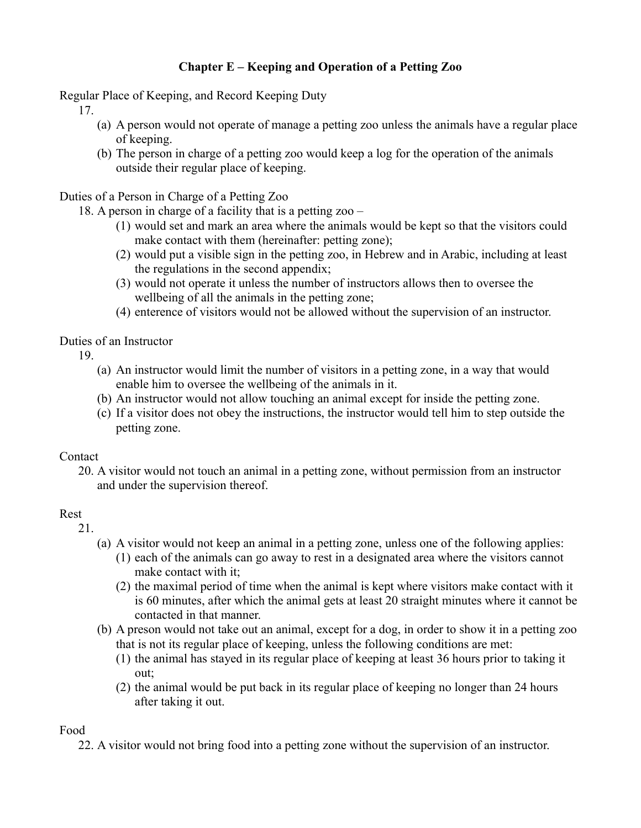# **Chapter E – Keeping and Operation of a Petting Zoo**

Regular Place of Keeping, and Record Keeping Duty

17.

- (a) A person would not operate of manage a petting zoo unless the animals have a regular place of keeping.
- (b) The person in charge of a petting zoo would keep a log for the operation of the animals outside their regular place of keeping.

Duties of a Person in Charge of a Petting Zoo

18. A person in charge of a facility that is a petting zoo –

- (1) would set and mark an area where the animals would be kept so that the visitors could make contact with them (hereinafter: petting zone);
- (2) would put a visible sign in the petting zoo, in Hebrew and in Arabic, including at least the regulations in the second appendix;
- (3) would not operate it unless the number of instructors allows then to oversee the wellbeing of all the animals in the petting zone;
- (4) enterence of visitors would not be allowed without the supervision of an instructor.

Duties of an Instructor

19.

- (a) An instructor would limit the number of visitors in a petting zone, in a way that would enable him to oversee the wellbeing of the animals in it.
- (b) An instructor would not allow touching an animal except for inside the petting zone.
- (c) If a visitor does not obey the instructions, the instructor would tell him to step outside the petting zone.

## **Contact**

20. A visitor would not touch an animal in a petting zone, without permission from an instructor and under the supervision thereof.

## Rest

21.

- (a) A visitor would not keep an animal in a petting zone, unless one of the following applies:
	- (1) each of the animals can go away to rest in a designated area where the visitors cannot make contact with it;
	- (2) the maximal period of time when the animal is kept where visitors make contact with it is 60 minutes, after which the animal gets at least 20 straight minutes where it cannot be contacted in that manner.
- (b) A preson would not take out an animal, except for a dog, in order to show it in a petting zoo that is not its regular place of keeping, unless the following conditions are met:
	- (1) the animal has stayed in its regular place of keeping at least 36 hours prior to taking it out;
	- (2) the animal would be put back in its regular place of keeping no longer than 24 hours after taking it out.

Food

22. A visitor would not bring food into a petting zone without the supervision of an instructor.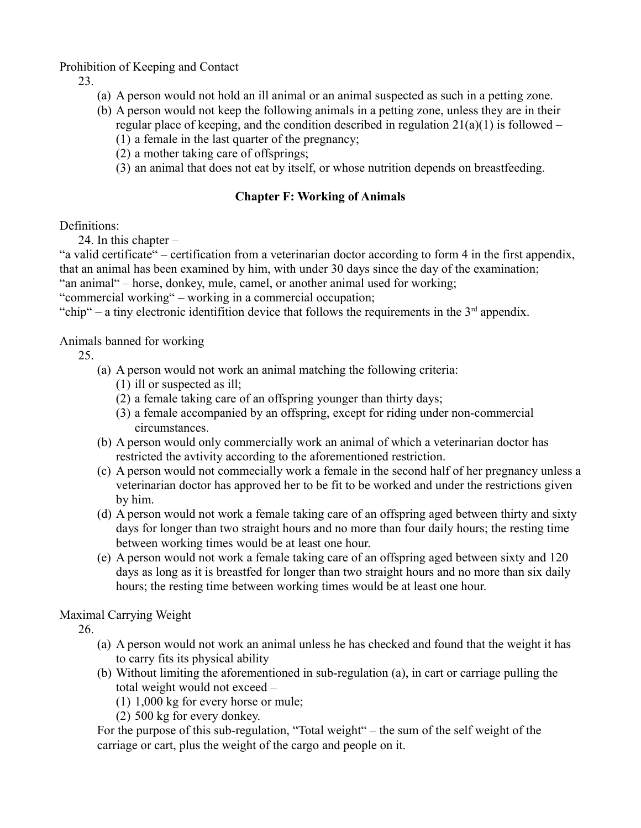Prohibition of Keeping and Contact

23.

- (a) A person would not hold an ill animal or an animal suspected as such in a petting zone.
- (b) A person would not keep the following animals in a petting zone, unless they are in their regular place of keeping, and the condition described in regulation  $21(a)(1)$  is followed –
	- (1) a female in the last quarter of the pregnancy;
	- (2) a mother taking care of offsprings;
	- (3) an animal that does not eat by itself, or whose nutrition depends on breastfeeding.

## **Chapter F: Working of Animals**

Definitions:

24. In this chapter –

"a valid certificate" – certification from a veterinarian doctor according to form 4 in the first appendix, that an animal has been examined by him, with under 30 days since the day of the examination;

"an animal" – horse, donkey, mule, camel, or another animal used for working;

"commercial working" – working in a commercial occupation;

"chip" – a tiny electronic identifition device that follows the requirements in the  $3<sup>rd</sup>$  appendix.

Animals banned for working

25.

- (a) A person would not work an animal matching the following criteria:
	- (1) ill or suspected as ill;
	- (2) a female taking care of an offspring younger than thirty days;
	- (3) a female accompanied by an offspring, except for riding under non-commercial circumstances.
- (b) A person would only commercially work an animal of which a veterinarian doctor has restricted the avtivity according to the aforementioned restriction.
- (c) A person would not commecially work a female in the second half of her pregnancy unless a veterinarian doctor has approved her to be fit to be worked and under the restrictions given by him.
- (d) A person would not work a female taking care of an offspring aged between thirty and sixty days for longer than two straight hours and no more than four daily hours; the resting time between working times would be at least one hour.
- (e) A person would not work a female taking care of an offspring aged between sixty and 120 days as long as it is breastfed for longer than two straight hours and no more than six daily hours; the resting time between working times would be at least one hour.

Maximal Carrying Weight

26.

- (a) A person would not work an animal unless he has checked and found that the weight it has to carry fits its physical ability
- (b) Without limiting the aforementioned in sub-regulation (a), in cart or carriage pulling the total weight would not exceed –
	- (1) 1,000 kg for every horse or mule;
	- (2) 500 kg for every donkey.

For the purpose of this sub-regulation, "Total weight" – the sum of the self weight of the carriage or cart, plus the weight of the cargo and people on it.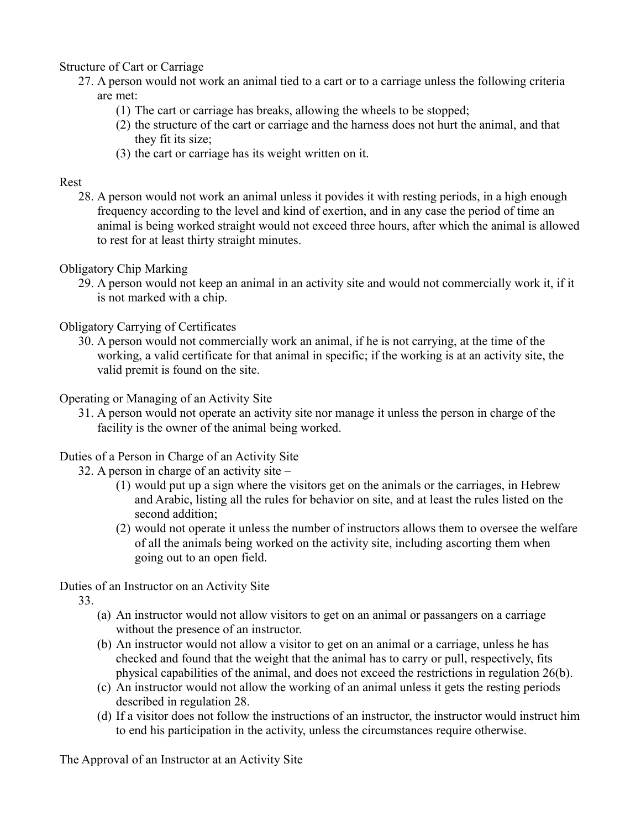#### Structure of Cart or Carriage

- 27. A person would not work an animal tied to a cart or to a carriage unless the following criteria are met:
	- (1) The cart or carriage has breaks, allowing the wheels to be stopped;
	- (2) the structure of the cart or carriage and the harness does not hurt the animal, and that they fit its size;
	- (3) the cart or carriage has its weight written on it.

#### Rest

28. A person would not work an animal unless it povides it with resting periods, in a high enough frequency according to the level and kind of exertion, and in any case the period of time an animal is being worked straight would not exceed three hours, after which the animal is allowed to rest for at least thirty straight minutes.

#### Obligatory Chip Marking

29. A person would not keep an animal in an activity site and would not commercially work it, if it is not marked with a chip.

## Obligatory Carrying of Certificates

30. A person would not commercially work an animal, if he is not carrying, at the time of the working, a valid certificate for that animal in specific; if the working is at an activity site, the valid premit is found on the site.

#### Operating or Managing of an Activity Site

31. A person would not operate an activity site nor manage it unless the person in charge of the facility is the owner of the animal being worked.

## Duties of a Person in Charge of an Activity Site

- 32. A person in charge of an activity site
	- (1) would put up a sign where the visitors get on the animals or the carriages, in Hebrew and Arabic, listing all the rules for behavior on site, and at least the rules listed on the second addition;
	- (2) would not operate it unless the number of instructors allows them to oversee the welfare of all the animals being worked on the activity site, including ascorting them when going out to an open field.

## Duties of an Instructor on an Activity Site

33.

- (a) An instructor would not allow visitors to get on an animal or passangers on a carriage without the presence of an instructor.
- (b) An instructor would not allow a visitor to get on an animal or a carriage, unless he has checked and found that the weight that the animal has to carry or pull, respectively, fits physical capabilities of the animal, and does not exceed the restrictions in regulation 26(b).
- (c) An instructor would not allow the working of an animal unless it gets the resting periods described in regulation 28.
- (d) If a visitor does not follow the instructions of an instructor, the instructor would instruct him to end his participation in the activity, unless the circumstances require otherwise.

The Approval of an Instructor at an Activity Site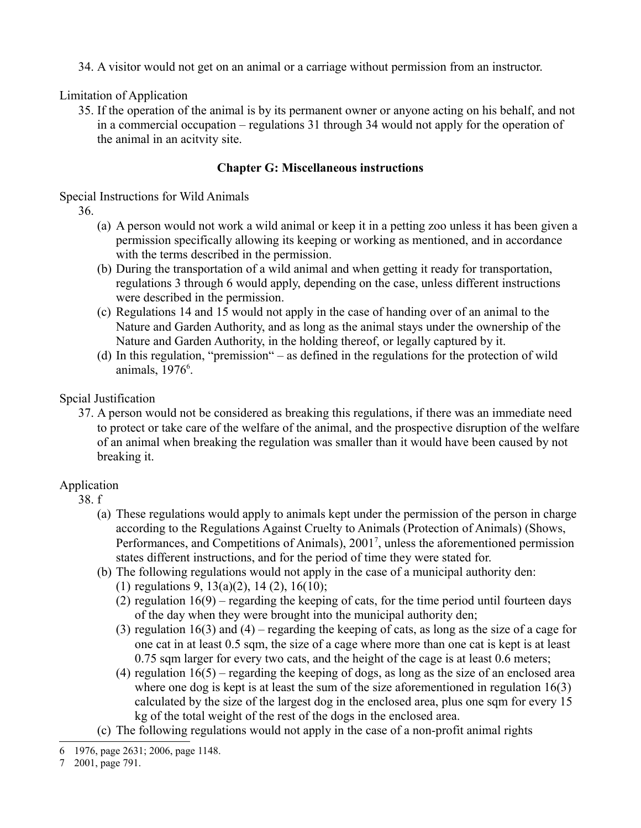34. A visitor would not get on an animal or a carriage without permission from an instructor.

Limitation of Application

35. If the operation of the animal is by its permanent owner or anyone acting on his behalf, and not in a commercial occupation – regulations 31 through 34 would not apply for the operation of the animal in an acitvity site.

## **Chapter G: Miscellaneous instructions**

Special Instructions for Wild Animals

36.

- (a) A person would not work a wild animal or keep it in a petting zoo unless it has been given a permission specifically allowing its keeping or working as mentioned, and in accordance with the terms described in the permission.
- (b) During the transportation of a wild animal and when getting it ready for transportation, regulations 3 through 6 would apply, depending on the case, unless different instructions were described in the permission.
- (c) Regulations 14 and 15 would not apply in the case of handing over of an animal to the Nature and Garden Authority, and as long as the animal stays under the ownership of the Nature and Garden Authority, in the holding thereof, or legally captured by it.
- (d) In this regulation, "premission" as defined in the regulations for the protection of wild animals, 197[6](#page-11-0)<sup>6</sup>.

## Spcial Justification

37. A person would not be considered as breaking this regulations, if there was an immediate need to protect or take care of the welfare of the animal, and the prospective disruption of the welfare of an animal when breaking the regulation was smaller than it would have been caused by not breaking it.

## Application

- 38. f
	- (a) These regulations would apply to animals kept under the permission of the person in charge according to the Regulations Against Cruelty to Animals (Protection of Animals) (Shows, Performances, and Competitions of Animals), 2001<sup>[7](#page-11-1)</sup>, unless the aforementioned permission states different instructions, and for the period of time they were stated for.
	- (b) The following regulations would not apply in the case of a municipal authority den:
		- (1) regulations 9, 13(a)(2), 14 (2), 16(10);
		- (2) regulation 16(9) regarding the keeping of cats, for the time period until fourteen days of the day when they were brought into the municipal authority den;
		- (3) regulation 16(3) and (4) regarding the keeping of cats, as long as the size of a cage for one cat in at least 0.5 sqm, the size of a cage where more than one cat is kept is at least 0.75 sqm larger for every two cats, and the height of the cage is at least 0.6 meters;
		- (4) regulation 16(5) regarding the keeping of dogs, as long as the size of an enclosed area where one dog is kept is at least the sum of the size aforementioned in regulation 16(3) calculated by the size of the largest dog in the enclosed area, plus one sqm for every 15 kg of the total weight of the rest of the dogs in the enclosed area.
	- (c) The following regulations would not apply in the case of a non-profit animal rights

<span id="page-11-1"></span>7 2001, page 791.

<span id="page-11-0"></span><sup>6</sup> 1976, page 2631; 2006, page 1148.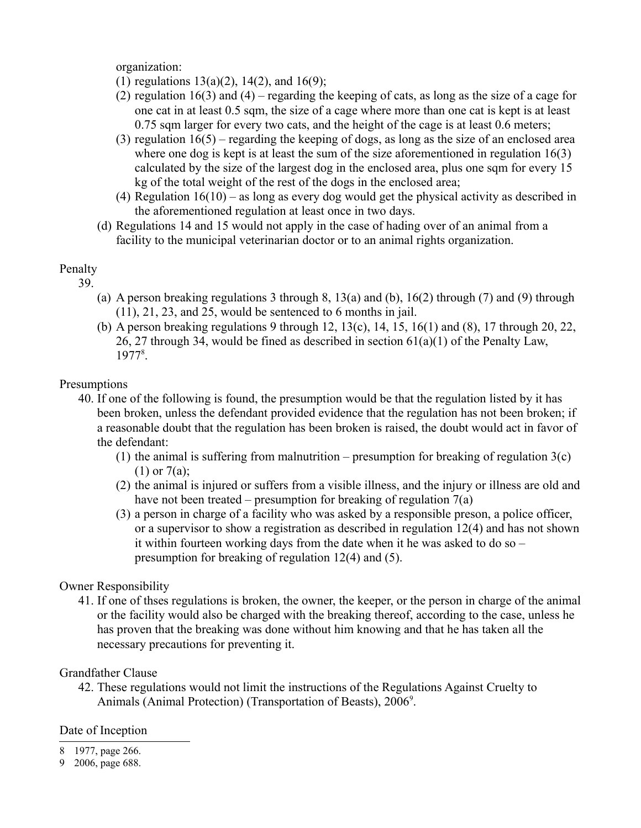organization:

- (1) regulations  $13(a)(2)$ ,  $14(2)$ , and  $16(9)$ ;
- (2) regulation 16(3) and (4) regarding the keeping of cats, as long as the size of a cage for one cat in at least 0.5 sqm, the size of a cage where more than one cat is kept is at least 0.75 sqm larger for every two cats, and the height of the cage is at least 0.6 meters;
- (3) regulation  $16(5)$  regarding the keeping of dogs, as long as the size of an enclosed area where one dog is kept is at least the sum of the size aforementioned in regulation 16(3) calculated by the size of the largest dog in the enclosed area, plus one sqm for every 15 kg of the total weight of the rest of the dogs in the enclosed area;
- (4) Regulation 16(10) as long as every dog would get the physical activity as described in the aforementioned regulation at least once in two days.
- (d) Regulations 14 and 15 would not apply in the case of hading over of an animal from a facility to the municipal veterinarian doctor or to an animal rights organization.

## Penalty

- 39.
	- (a) A person breaking regulations 3 through 8, 13(a) and (b), 16(2) through (7) and (9) through (11), 21, 23, and 25, would be sentenced to 6 months in jail.
	- (b) A person breaking regulations 9 through 12, 13(c), 14, 15, 16(1) and (8), 17 through 20, 22, 26, 27 through 34, would be fined as described in section  $61(a)(1)$  of the Penalty Law, 1977[8](#page-12-0).

## Presumptions

- 40. If one of the following is found, the presumption would be that the regulation listed by it has been broken, unless the defendant provided evidence that the regulation has not been broken; if a reasonable doubt that the regulation has been broken is raised, the doubt would act in favor of the defendant:
	- (1) the animal is suffering from malnutrition presumption for breaking of regulation  $3(c)$  $(1)$  or  $7(a)$ ;
	- (2) the animal is injured or suffers from a visible illness, and the injury or illness are old and have not been treated – presumption for breaking of regulation 7(a)
	- (3) a person in charge of a facility who was asked by a responsible preson, a police officer, or a supervisor to show a registration as described in regulation 12(4) and has not shown it within fourteen working days from the date when it he was asked to do so – presumption for breaking of regulation 12(4) and (5).

## Owner Responsibility

41. If one of thses regulations is broken, the owner, the keeper, or the person in charge of the animal or the facility would also be charged with the breaking thereof, according to the case, unless he has proven that the breaking was done without him knowing and that he has taken all the necessary precautions for preventing it.

## Grandfather Clause

42. These regulations would not limit the instructions of the Regulations Against Cruelty to Animals (Animal Protection) (Transportation of Beasts), 2006<sup>[9](#page-12-1)</sup>.

## Date of Inception

- <span id="page-12-0"></span>8 1977, page 266.
- <span id="page-12-1"></span>9 2006, page 688.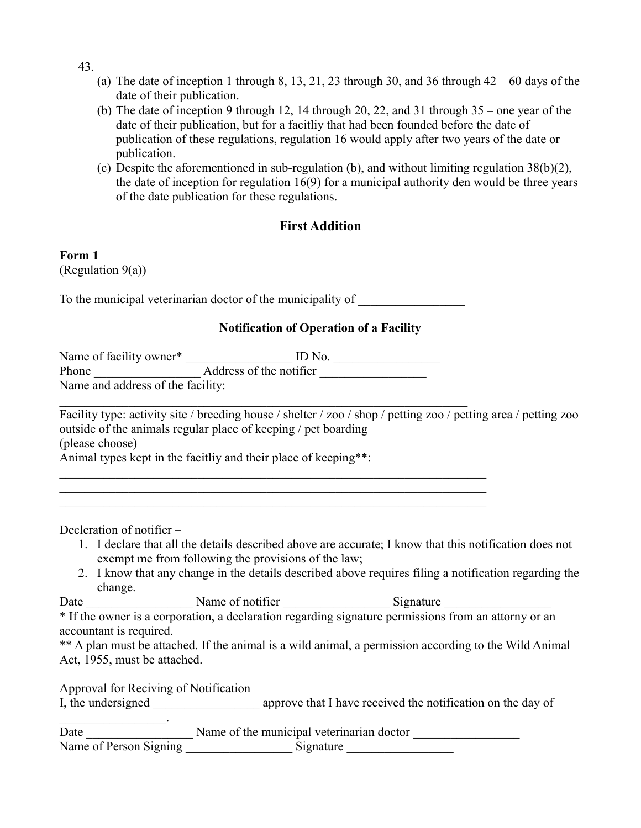- 43.
	- (a) The date of inception 1 through 8, 13, 21, 23 through 30, and 36 through  $42 60$  days of the date of their publication.
	- (b) The date of inception 9 through 12, 14 through 20, 22, and 31 through 35 one year of the date of their publication, but for a facitliy that had been founded before the date of publication of these regulations, regulation 16 would apply after two years of the date or publication.
	- (c) Despite the aforementioned in sub-regulation (b), and without limiting regulation 38(b)(2), the date of inception for regulation 16(9) for a municipal authority den would be three years of the date publication for these regulations.

# **First Addition**

## **Form 1**

(Regulation 9(a))

To the municipal veterinarian doctor of the municipality of

 $\mathcal{L}_\text{max} = \mathcal{L}_\text{max} = \mathcal{L}_\text{max} = \mathcal{L}_\text{max} = \mathcal{L}_\text{max} = \mathcal{L}_\text{max} = \mathcal{L}_\text{max} = \mathcal{L}_\text{max} = \mathcal{L}_\text{max} = \mathcal{L}_\text{max} = \mathcal{L}_\text{max} = \mathcal{L}_\text{max} = \mathcal{L}_\text{max} = \mathcal{L}_\text{max} = \mathcal{L}_\text{max} = \mathcal{L}_\text{max} = \mathcal{L}_\text{max} = \mathcal{L}_\text{max} = \mathcal{$  $\mathcal{L}_\mathcal{L} = \{ \mathcal{L}_\mathcal{L} = \{ \mathcal{L}_\mathcal{L} = \{ \mathcal{L}_\mathcal{L} = \{ \mathcal{L}_\mathcal{L} = \{ \mathcal{L}_\mathcal{L} = \{ \mathcal{L}_\mathcal{L} = \{ \mathcal{L}_\mathcal{L} = \{ \mathcal{L}_\mathcal{L} = \{ \mathcal{L}_\mathcal{L} = \{ \mathcal{L}_\mathcal{L} = \{ \mathcal{L}_\mathcal{L} = \{ \mathcal{L}_\mathcal{L} = \{ \mathcal{L}_\mathcal{L} = \{ \mathcal{L}_\mathcal{$  $\mathcal{L}_\mathcal{L} = \{ \mathcal{L}_\mathcal{L} = \{ \mathcal{L}_\mathcal{L} = \{ \mathcal{L}_\mathcal{L} = \{ \mathcal{L}_\mathcal{L} = \{ \mathcal{L}_\mathcal{L} = \{ \mathcal{L}_\mathcal{L} = \{ \mathcal{L}_\mathcal{L} = \{ \mathcal{L}_\mathcal{L} = \{ \mathcal{L}_\mathcal{L} = \{ \mathcal{L}_\mathcal{L} = \{ \mathcal{L}_\mathcal{L} = \{ \mathcal{L}_\mathcal{L} = \{ \mathcal{L}_\mathcal{L} = \{ \mathcal{L}_\mathcal{$ 

#### **Notification of Operation of a Facility**

Name of facility owner\* \_\_\_\_\_\_\_\_\_\_\_\_\_\_\_\_\_\_\_\_\_ ID No. Phone \_\_\_\_\_\_\_\_\_\_\_\_\_\_\_\_\_ Address of the notifier \_\_\_\_\_\_\_\_\_\_\_\_\_\_\_\_\_ Name and address of the facility:

 $\mathcal{L}_\text{max} = \frac{1}{2} \sum_{i=1}^n \mathcal{L}_\text{max}(\mathbf{z}_i - \mathbf{z}_i)$ Facility type: activity site / breeding house / shelter / zoo / shop / petting zoo / petting area / petting zoo outside of the animals regular place of keeping / pet boarding (please choose) Animal types kept in the facitliy and their place of keeping\*\*:

Decleration of notifier –

 $\mathcal{L}=\mathcal{L}^{\mathcal{L}}$ 

- 1. I declare that all the details described above are accurate; I know that this notification does not exempt me from following the provisions of the law;
- 2. I know that any change in the details described above requires filing a notification regarding the change.

Date \_\_\_\_\_\_\_\_\_\_\_\_\_\_\_\_\_ Name of notifier \_\_\_\_\_\_\_\_\_\_\_\_\_\_\_\_\_ Signature \_\_\_\_\_\_\_\_\_\_\_\_\_\_\_\_\_

\* If the owner is a corporation, a declaration regarding signature permissions from an attorny or an accountant is required.

\*\* A plan must be attached. If the animal is a wild animal, a permission according to the Wild Animal Act, 1955, must be attached.

Approval for Reciving of Notification

I, the undersigned \_\_\_\_\_\_\_\_\_\_\_\_\_\_\_\_\_\_\_\_\_ approve that I have received the notification on the day of

| Date                   | Name of the municipal veterinarian doctor |
|------------------------|-------------------------------------------|
| Name of Person Signing | Signature                                 |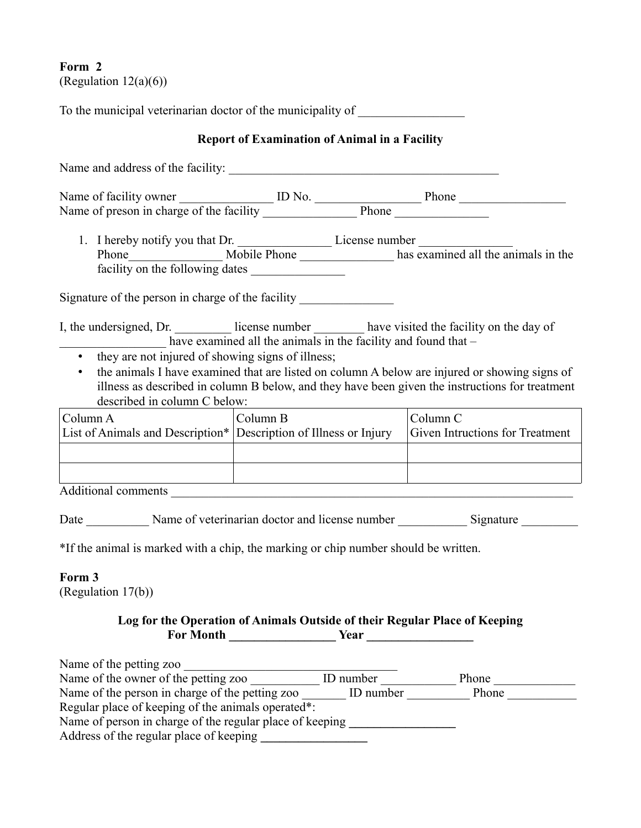## **Form 2** (Regulation  $12(a)(6)$ )

To the municipal veterinarian doctor of the municipality of **Report of Examination of Animal in a Facility** Name and address of the facility: Name of facility owner \_\_\_\_\_\_\_\_\_\_\_\_\_\_\_\_ ID No. \_\_\_\_\_\_\_\_\_\_\_\_\_\_\_\_\_\_\_\_\_\_\_\_\_\_\_\_\_\_\_\_\_\_ Phone Name of preson in charge of the facility Phone Phone 1. I hereby notify you that Dr. License number Phone Mobile Phone has examined all the animals in the facility on the following dates Signature of the person in charge of the facility I, the undersigned, Dr. \_\_\_\_\_\_\_\_\_\_ license number \_\_\_\_\_\_\_\_ have visited the facility on the day of have examined all the animals in the facility and found that  $-$ • they are not injured of showing signs of illness; • the animals I have examined that are listed on column A below are injured or showing signs of illness as described in column B below, and they have been given the instructions for treatment described in column C below: Column C Column B Column A Given Intructions for Treatment List of Animals and Description\* Description of Illness or Injury Additional comments Date Mame of veterinarian doctor and license number Signature Signature \*If the animal is marked with a chip, the marking or chip number should be written. **Form 3** (Regulation 17(b))

#### **Log for the Operation of Animals Outside of their Regular Place of Keeping** For Month <u>Lateration of Near Laterations</u>

| Name of the petting zoo                                  |           |       |  |  |
|----------------------------------------------------------|-----------|-------|--|--|
| Name of the owner of the petting zoo.                    | ID number | Phone |  |  |
| Name of the person in charge of the petting zoo          | ID number | Phone |  |  |
| Regular place of keeping of the animals operated*:       |           |       |  |  |
| Name of person in charge of the regular place of keeping |           |       |  |  |
| Address of the regular place of keeping                  |           |       |  |  |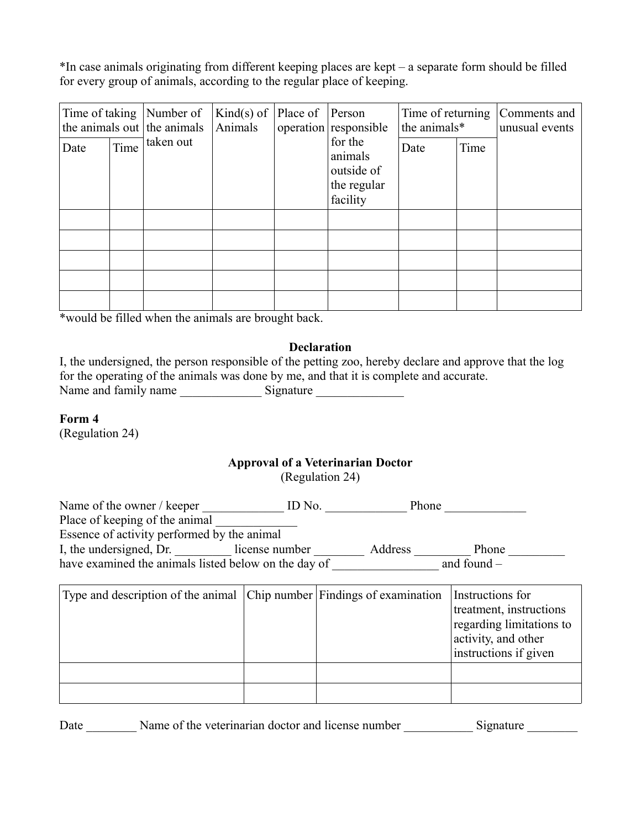\*In case animals originating from different keeping places are kept – a separate form should be filled for every group of animals, according to the regular place of keeping.

| Time of taking |      | Number of<br>the animals out the animals<br>taken out | $Kind(s)$ of<br>Animals | Place of | Person<br>operation responsible<br>for the<br>animals<br>outside of<br>the regular<br>facility | Time of returning<br>the animals* |      | Comments and<br>unusual events |
|----------------|------|-------------------------------------------------------|-------------------------|----------|------------------------------------------------------------------------------------------------|-----------------------------------|------|--------------------------------|
| Date           | Time |                                                       |                         |          |                                                                                                | Date                              | Time |                                |
|                |      |                                                       |                         |          |                                                                                                |                                   |      |                                |
|                |      |                                                       |                         |          |                                                                                                |                                   |      |                                |
|                |      |                                                       |                         |          |                                                                                                |                                   |      |                                |
|                |      |                                                       |                         |          |                                                                                                |                                   |      |                                |
|                |      |                                                       |                         |          |                                                                                                |                                   |      |                                |

\*would be filled when the animals are brought back.

#### **Declaration**

I, the undersigned, the person responsible of the petting zoo, hereby declare and approve that the log for the operating of the animals was done by me, and that it is complete and accurate. Name and family name \_\_\_\_\_\_\_\_\_\_\_\_\_ Signature \_\_\_\_\_\_\_\_\_\_\_\_\_\_

#### **Form 4**

(Regulation 24)

## **Approval of a Veterinarian Doctor**

(Regulation 24)

Name of the owner / keeper \_\_\_\_\_\_\_\_\_\_\_\_ ID No. \_\_\_\_\_\_\_\_\_\_\_\_\_\_ Phone Place of keeping of the animal Essence of activity performed by the animal I, the undersigned, Dr. \_\_\_\_\_\_\_\_\_ license number \_\_\_\_\_\_\_\_\_ Address \_\_\_\_\_\_\_\_\_ Phone \_\_\_\_\_\_\_\_\_ have examined the animals listed below on the day of and found –

| Type and description of the animal Chip number Findings of examination |  | Instructions for<br>treatment, instructions<br>regarding limitations to<br>activity, and other<br>instructions if given |
|------------------------------------------------------------------------|--|-------------------------------------------------------------------------------------------------------------------------|
|                                                                        |  |                                                                                                                         |
|                                                                        |  |                                                                                                                         |

Date Name of the veterinarian doctor and license number Signature Signature